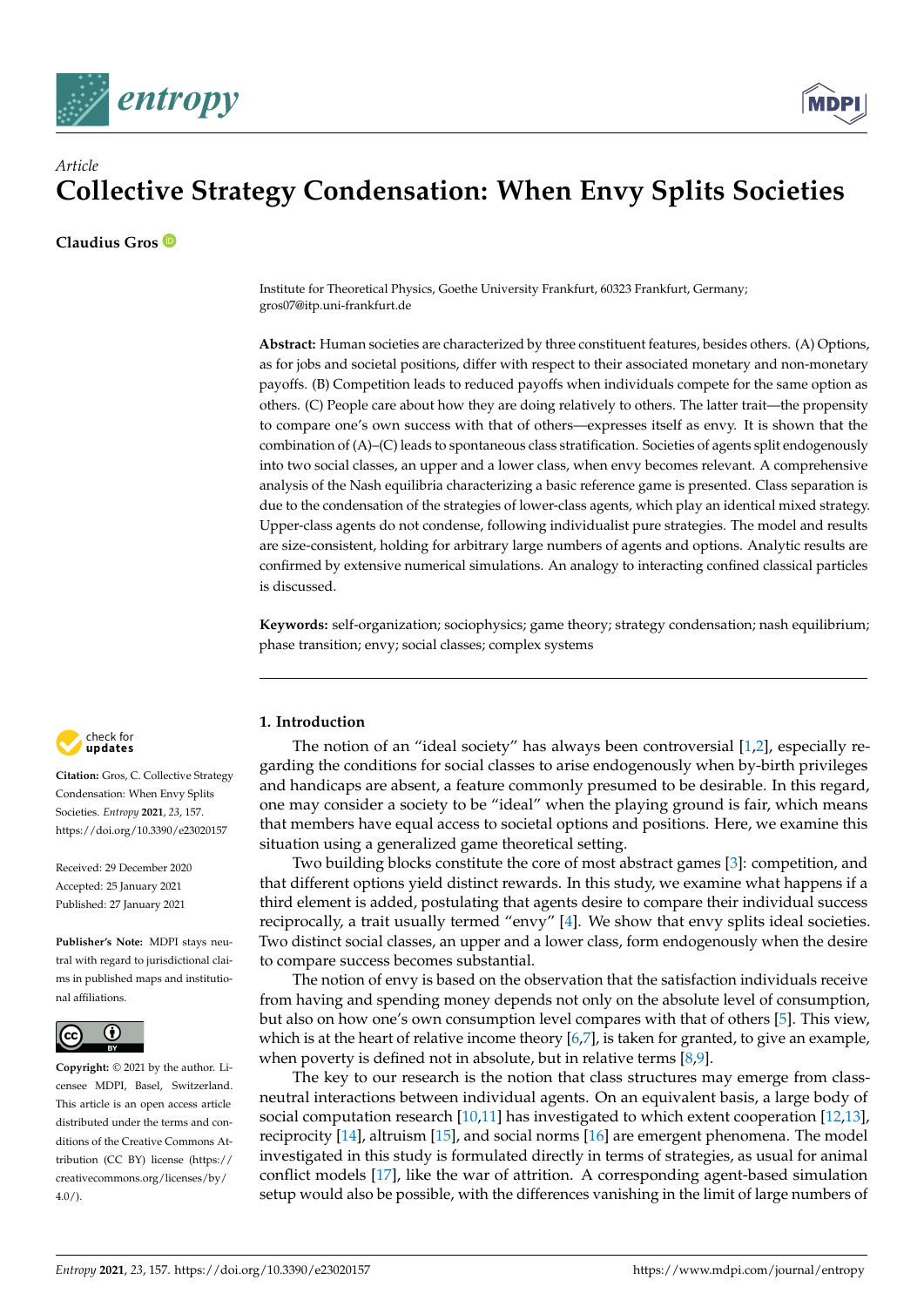



# *Article* **Collective Strategy Condensation: When Envy Splits Societies**

**Claudius Gros**

Institute for Theoretical Physics, Goethe University Frankfurt, 60323 Frankfurt, Germany; gros07@itp.uni-frankfurt.de

**Abstract:** Human societies are characterized by three constituent features, besides others. (A) Options, as for jobs and societal positions, differ with respect to their associated monetary and non-monetary payoffs. (B) Competition leads to reduced payoffs when individuals compete for the same option as others. (C) People care about how they are doing relatively to others. The latter trait—the propensity to compare one's own success with that of others—expresses itself as envy. It is shown that the combination of (A)–(C) leads to spontaneous class stratification. Societies of agents split endogenously into two social classes, an upper and a lower class, when envy becomes relevant. A comprehensive analysis of the Nash equilibria characterizing a basic reference game is presented. Class separation is due to the condensation of the strategies of lower-class agents, which play an identical mixed strategy. Upper-class agents do not condense, following individualist pure strategies. The model and results are size-consistent, holding for arbitrary large numbers of agents and options. Analytic results are confirmed by extensive numerical simulations. An analogy to interacting confined classical particles is discussed.

**Keywords:** self-organization; sociophysics; game theory; strategy condensation; nash equilibrium; phase transition; envy; social classes; complex systems



**Citation:** Gros, C. Collective Strategy Condensation: When Envy Splits Societies. *Entropy* **2021**, *23*, 157. <https://doi.org/10.3390/e23020157>

Received: 29 December 2020 Accepted: 25 January 2021 Published: 27 January 2021

**Publisher's Note:** MDPI stays neutral with regard to jurisdictional claims in published maps and institutional affiliations.



**Copyright:** © 2021 by the author. Licensee MDPI, Basel, Switzerland. This article is an open access article distributed under the terms and conditions of the Creative Commons Attribution (CC BY) license [\(https://](https://creativecommons.org/licenses/by/4.0/) [creativecommons.org/licenses/by/](https://creativecommons.org/licenses/by/4.0/)  $4.0/$ ).

# **1. Introduction**

The notion of an "ideal society" has always been controversial [\[1,](#page-8-0)[2\]](#page-8-1), especially regarding the conditions for social classes to arise endogenously when by-birth privileges and handicaps are absent, a feature commonly presumed to be desirable. In this regard, one may consider a society to be "ideal" when the playing ground is fair, which means that members have equal access to societal options and positions. Here, we examine this situation using a generalized game theoretical setting.

Two building blocks constitute the core of most abstract games [\[3\]](#page-8-2): competition, and that different options yield distinct rewards. In this study, we examine what happens if a third element is added, postulating that agents desire to compare their individual success reciprocally, a trait usually termed "envy" [\[4\]](#page-8-3). We show that envy splits ideal societies. Two distinct social classes, an upper and a lower class, form endogenously when the desire to compare success becomes substantial.

The notion of envy is based on the observation that the satisfaction individuals receive from having and spending money depends not only on the absolute level of consumption, but also on how one's own consumption level compares with that of others [\[5\]](#page-8-4). This view, which is at the heart of relative income theory  $[6,7]$  $[6,7]$ , is taken for granted, to give an example, when poverty is defined not in absolute, but in relative terms  $[8,9]$  $[8,9]$ .

The key to our research is the notion that class structures may emerge from classneutral interactions between individual agents. On an equivalent basis, a large body of social computation research [\[10](#page-8-9)[,11\]](#page-8-10) has investigated to which extent cooperation [\[12,](#page-8-11)[13\]](#page-8-12), reciprocity [\[14\]](#page-8-13), altruism [\[15\]](#page-8-14), and social norms [\[16\]](#page-8-15) are emergent phenomena. The model investigated in this study is formulated directly in terms of strategies, as usual for animal conflict models [\[17\]](#page-8-16), like the war of attrition. A corresponding agent-based simulation setup would also be possible, with the differences vanishing in the limit of large numbers of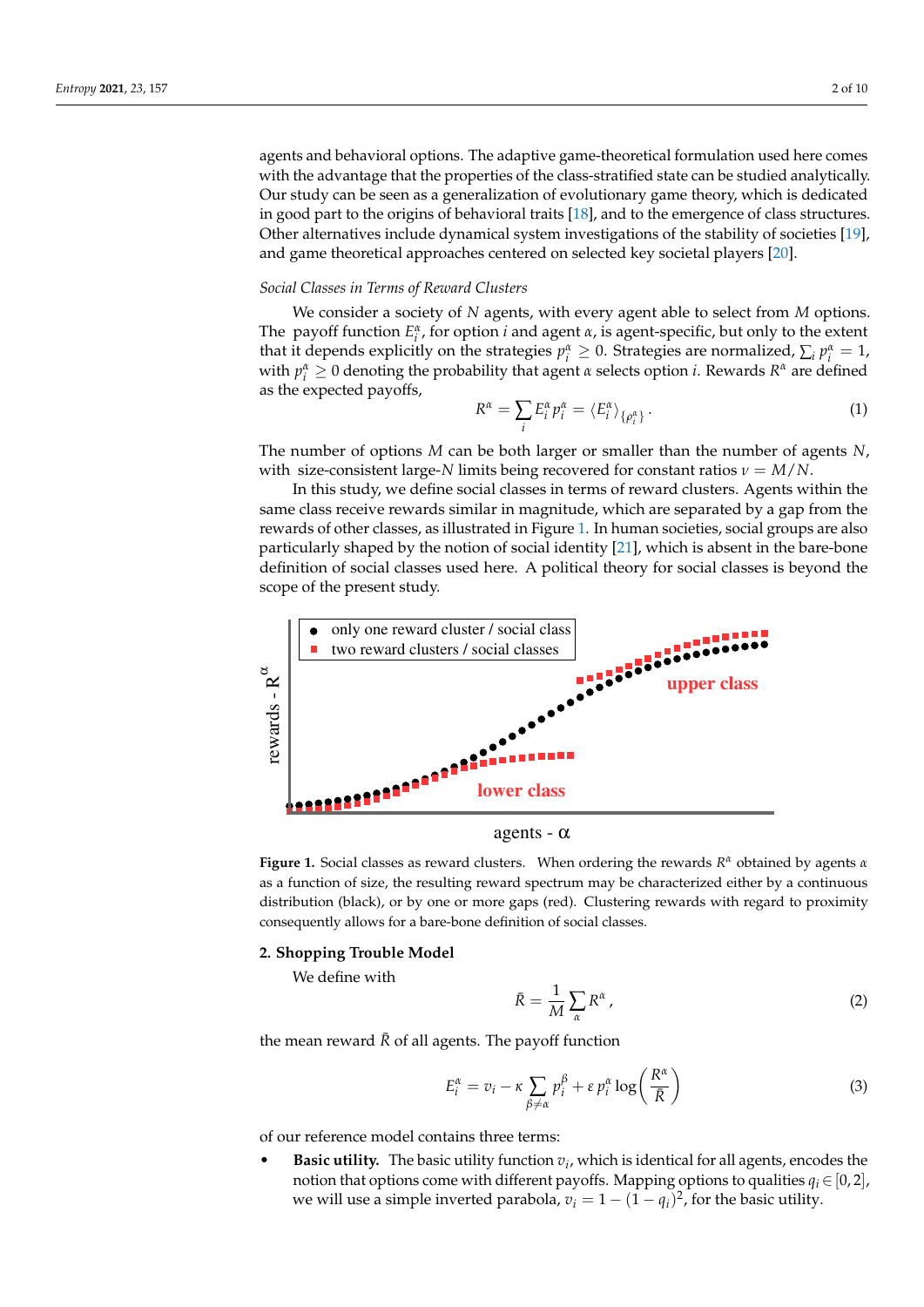agents and behavioral options. The adaptive game-theoretical formulation used here comes with the advantage that the properties of the class-stratified state can be studied analytically. Our study can be seen as a generalization of evolutionary game theory, which is dedicated in good part to the origins of behavioral traits [\[18\]](#page-8-17), and to the emergence of class structures. Other alternatives include dynamical system investigations of the stability of societies [\[19\]](#page-8-18), and game theoretical approaches centered on selected key societal players [\[20\]](#page-8-19).

#### *Social Classes in Terms of Reward Clusters*

We consider a society of *N* agents, with every agent able to select from *M* options. The payoff function  $E_i^{\alpha}$ , for option *i* and agent  $\alpha$ , is agent-specific, but only to the extent that it depends explicitly on the strategies  $p_i^{\alpha} \geq 0$ . Strategies are normalized,  $\sum_i p_i^{\alpha} = 1$ , with  $p_i^{\alpha} \geq 0$  denoting the probability that agent  $\alpha$  selects option *i*. Rewards  $R^{\alpha}$  are defined as the expected payoffs,

$$
R^{\alpha} = \sum_{i} E_i^{\alpha} p_i^{\alpha} = \langle E_i^{\alpha} \rangle_{\{\rho_i^{\alpha}\}}.
$$
\n(1)

The number of options *M* can be both larger or smaller than the number of agents *N*, with size-consistent large-*N* limits being recovered for constant ratios  $\nu = M/N$ .

In this study, we define social classes in terms of reward clusters. Agents within the same class receive rewards similar in magnitude, which are separated by a gap from the rewards of other classes, as illustrated in Figure [1.](#page-1-0) In human societies, social groups are also particularly shaped by the notion of social identity [\[21\]](#page-9-0), which is absent in the bare-bone definition of social classes used here. A political theory for social classes is beyond the scope of the present study.

<span id="page-1-0"></span>

agents -  $\alpha$ 

**Figure 1.** Social classes as reward clusters. When ordering the rewards *R <sup>α</sup>* obtained by agents *α* as a function of size, the resulting reward spectrum may be characterized either by a continuous distribution (black), or by one or more gaps (red). Clustering rewards with regard to proximity consequently allows for a bare-bone definition of social classes.

# **2. Shopping Trouble Model**

We define with

$$
\bar{R} = \frac{1}{M} \sum_{\alpha} R^{\alpha} \,, \tag{2}
$$

the mean reward  $\bar{R}$  of all agents. The payoff function

<span id="page-1-1"></span>
$$
E_i^{\alpha} = v_i - \kappa \sum_{\beta \neq \alpha} p_i^{\beta} + \varepsilon p_i^{\alpha} \log \left( \frac{R^{\alpha}}{\bar{R}} \right)
$$
 (3)

of our reference model contains three terms:

• **Basic utility.** The basic utility function  $v_i$ , which is identical for all agents, encodes the notion that options come with different payoffs. Mapping options to qualities  $q_i \in [0, 2]$ , we will use a simple inverted parabola,  $v_i = 1 - (1 - q_i)^2$ , for the basic utility.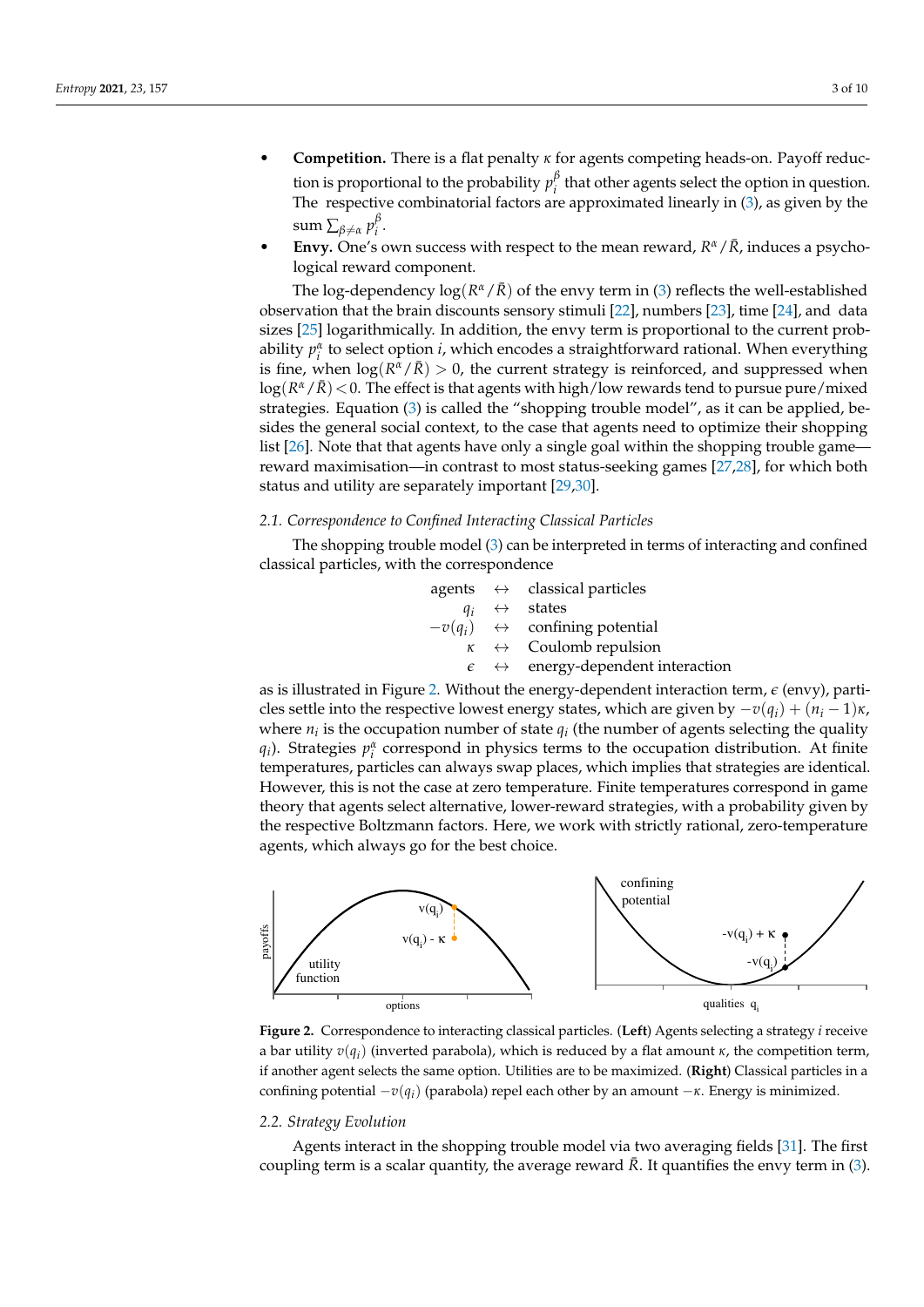- **Competition.** There is a flat penalty *κ* for agents competing heads-on. Payoff reduction is proportional to the probability  $p_i^{\beta}$  $i$ <sup> $\mu$ </sup> that other agents select the option in question. The respective combinatorial factors are approximated linearly in [\(3\)](#page-1-1), as given by the  $sum \sum_{\beta \neq \alpha} p_i^{\beta}$ *i* .
- **Envy.** One's own success with respect to the mean reward,  $R^{\alpha}/\bar{R}$ , induces a psychological reward component.

The log-dependency  $\log(R^{\alpha}/\bar{R})$  of the envy term in [\(3\)](#page-1-1) reflects the well-established observation that the brain discounts sensory stimuli [\[22\]](#page-9-1), numbers [\[23\]](#page-9-2), time [\[24\]](#page-9-3), and data sizes [\[25\]](#page-9-4) logarithmically. In addition, the envy term is proportional to the current probability  $p_i^{\alpha}$  to select option *i*, which encodes a straightforward rational. When everything is fine, when  $\log(R^{\alpha}/\bar{R}) > 0$ , the current strategy is reinforced, and suppressed when log $(R^{\alpha}/\bar{R})$  < 0. The effect is that agents with high/low rewards tend to pursue pure/mixed strategies. Equation [\(3\)](#page-1-1) is called the "shopping trouble model", as it can be applied, besides the general social context, to the case that agents need to optimize their shopping list [\[26\]](#page-9-5). Note that that agents have only a single goal within the shopping trouble game reward maximisation—in contrast to most status-seeking games [\[27](#page-9-6)[,28\]](#page-9-7), for which both status and utility are separately important [\[29,](#page-9-8)[30\]](#page-9-9).

### *2.1. Correspondence to Confined Interacting Classical Particles*

The shopping trouble model [\(3\)](#page-1-1) can be interpreted in terms of interacting and confined classical particles, with the correspondence

agents 
$$
\leftrightarrow
$$
 classical particles

\n $q_i \leftrightarrow$  states

\n $-v(q_i) \leftrightarrow$  confining potential

\n $\kappa \leftrightarrow$  Coulomb repulsion

\n $\epsilon \leftrightarrow$  energy-dependent interaction

as is illustrated in Figure [2.](#page-2-0) Without the energy-dependent interaction term,  $\epsilon$  (envy), particles settle into the respective lowest energy states, which are given by  $-v(q_i) + (n_i - 1)\kappa$ , where  $n_i$  is the occupation number of state  $q_i$  (the number of agents selecting the quality *q*<sub>*i*</sub>). Strategies  $p_i^{\alpha}$  correspond in physics terms to the occupation distribution. At finite temperatures, particles can always swap places, which implies that strategies are identical. However, this is not the case at zero temperature. Finite temperatures correspond in game theory that agents select alternative, lower-reward strategies, with a probability given by the respective Boltzmann factors. Here, we work with strictly rational, zero-temperature agents, which always go for the best choice.

<span id="page-2-0"></span>

**Figure 2.** Correspondence to interacting classical particles. (**Left**) Agents selecting a strategy *i* receive a bar utility *v*(*q<sup>i</sup>* ) (inverted parabola), which is reduced by a flat amount *κ*, the competition term, if another agent selects the same option. Utilities are to be maximized. (**Right**) Classical particles in a confining potential −*v*(*q<sup>i</sup>* ) (parabola) repel each other by an amount −*κ*. Energy is minimized.

#### *2.2. Strategy Evolution*

Agents interact in the shopping trouble model via two averaging fields [\[31\]](#page-9-10). The first coupling term is a scalar quantity, the average reward  $\bar{R}$ . It quantifies the envy term in [\(3\)](#page-1-1).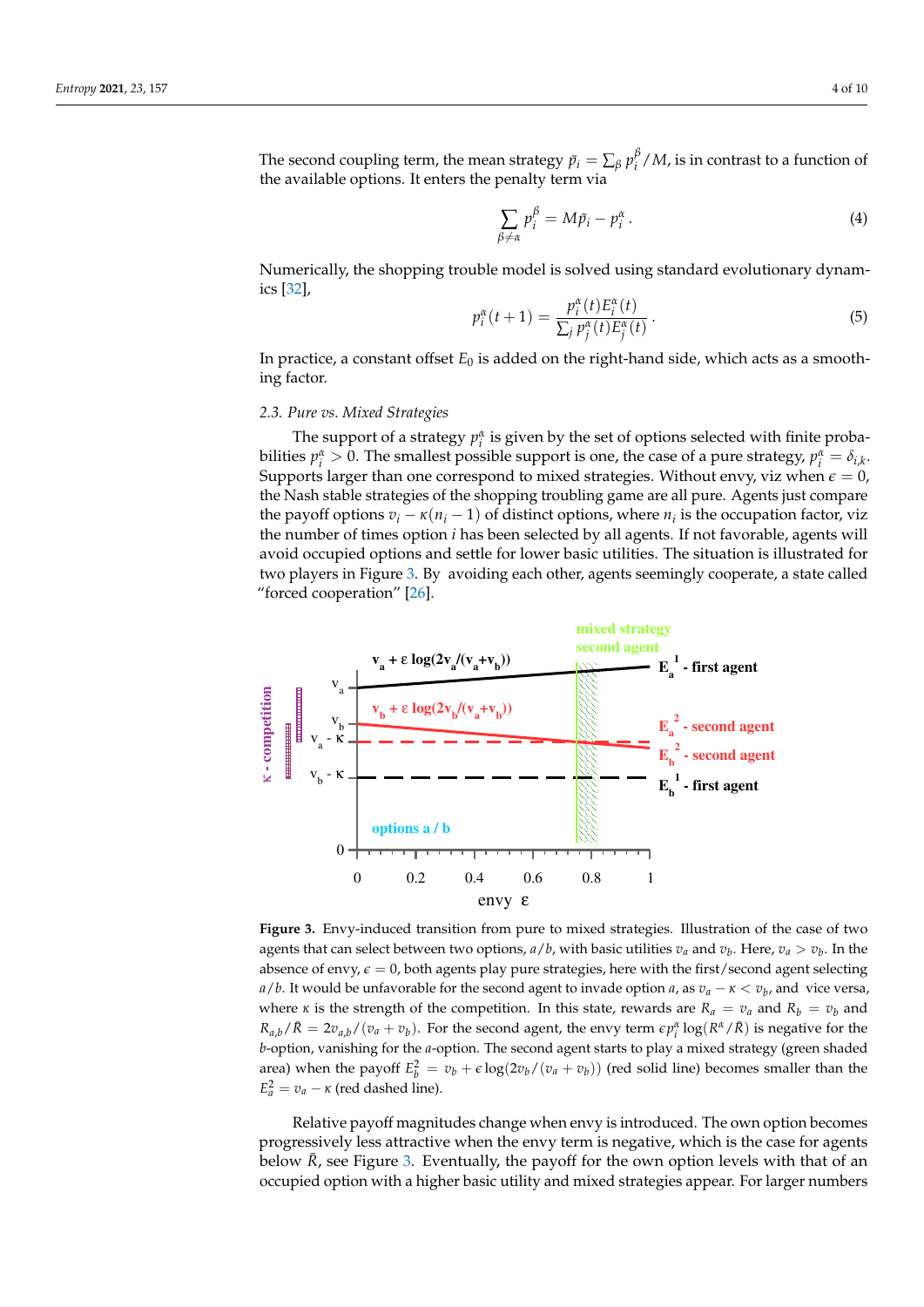The second coupling term, the mean strategy  $\bar{p}_i = \sum_{\beta} p_i^{\beta}$ *i* /*M*, is in contrast to a function of the available options. It enters the penalty term via

$$
\sum_{\beta \neq \alpha} p_i^{\beta} = M \bar{p}_i - p_i^{\alpha} \,. \tag{4}
$$

Numerically, the shopping trouble model is solved using standard evolutionary dynamics [\[32\]](#page-9-11),

<span id="page-3-1"></span>
$$
p_i^{\alpha}(t+1) = \frac{p_i^{\alpha}(t)E_i^{\alpha}(t)}{\sum_j p_j^{\alpha}(t)E_j^{\alpha}(t)}.
$$
 (5)

In practice, a constant offset  $E_0$  is added on the right-hand side, which acts as a smoothing factor.

#### *2.3. Pure vs. Mixed Strategies*

The support of a strategy  $p_i^{\alpha}$  is given by the set of options selected with finite probabilities  $p_i^{\alpha} > 0$ . The smallest possible support is one, the case of a pure strategy,  $p_i^{\alpha} = \delta_{i,k}$ . Supports larger than one correspond to mixed strategies. Without envy, viz when  $\epsilon = 0$ , the Nash stable strategies of the shopping troubling game are all pure. Agents just compare the payoff options  $v_i - \kappa (n_i - 1)$  of distinct options, where  $n_i$  is the occupation factor, viz the number of times option *i* has been selected by all agents. If not favorable, agents will avoid occupied options and settle for lower basic utilities. The situation is illustrated for two players in Figure [3.](#page-3-0) By avoiding each other, agents seemingly cooperate, a state called "forced cooperation" [\[26\]](#page-9-5).

<span id="page-3-0"></span>

**Figure 3.** Envy-induced transition from pure to mixed strategies. Illustration of the case of two agents that can select between two options,  $a/b$ , with basic utilities  $v_a$  and  $v_b$ . Here,  $v_a > v_b$ . In the absence of envy,  $\epsilon = 0$ , both agents play pure strategies, here with the first/second agent selecting *a*/*b*. It would be unfavorable for the second agent to invade option *a*, as *v<sup>a</sup>* − *κ* < *v<sup>b</sup>* , and vice versa, where *κ* is the strength of the competition. In this state, rewards are  $R_a = v_a$  and  $R_b = v_b$  and  $R_{a,b}/\bar{R} = 2v_{a,b}/(v_a + v_b)$ . For the second agent, the envy term  $\epsilon p_i^{\alpha} \log(R^{\alpha}/\bar{R})$  is negative for the *b*-option, vanishing for the *a*-option. The second agent starts to play a mixed strategy (green shaded area) when the payoff  $E_b^2 = v_b + \epsilon \log(2v_b/(v_a + v_b))$  (red solid line) becomes smaller than the  $E_a^2 = v_a - \kappa$  (red dashed line).

Relative payoff magnitudes change when envy is introduced. The own option becomes progressively less attractive when the envy term is negative, which is the case for agents below  $\bar{R}$ , see Figure [3.](#page-3-0) Eventually, the payoff for the own option levels with that of an occupied option with a higher basic utility and mixed strategies appear. For larger numbers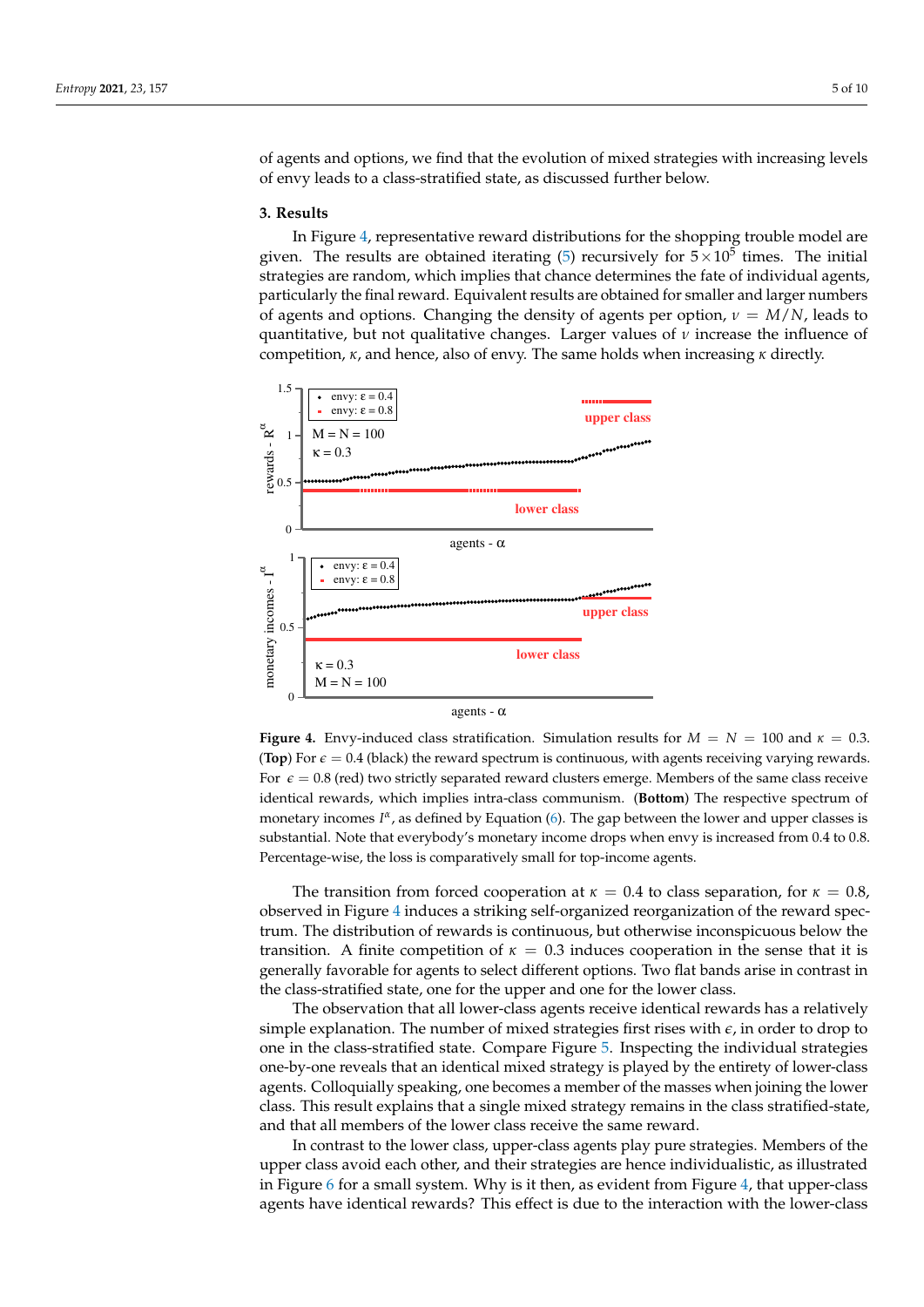of agents and options, we find that the evolution of mixed strategies with increasing levels of envy leads to a class-stratified state, as discussed further below.

#### **3. Results**

In Figure [4,](#page-4-0) representative reward distributions for the shopping trouble model are given. The results are obtained iterating [\(5\)](#page-3-1) recursively for  $5 \times 10^5$  times. The initial strategies are random, which implies that chance determines the fate of individual agents, particularly the final reward. Equivalent results are obtained for smaller and larger numbers of agents and options. Changing the density of agents per option,  $\nu = M/N$ , leads to quantitative, but not qualitative changes. Larger values of  $\nu$  increase the influence of competition, *κ*, and hence, also of envy. The same holds when increasing *κ* directly.

<span id="page-4-0"></span>

agents - α

**Figure 4.** Envy-induced class stratification. Simulation results for  $M = N = 100$  and  $\kappa = 0.3$ . **(Top**) For  $\epsilon = 0.4$  (black) the reward spectrum is continuous, with agents receiving varying rewards. For  $\varepsilon = 0.8$  (red) two strictly separated reward clusters emerge. Members of the same class receive identical rewards, which implies intra-class communism. (**Bottom**) The respective spectrum of monetary incomes *I<sup>α</sup>*, as defined by Equation [\(6\)](#page-5-0). The gap between the lower and upper classes is substantial. Note that everybody's monetary income drops when envy is increased from 0.4 to 0.8. Percentage-wise, the loss is comparatively small for top-income agents.

The transition from forced cooperation at  $\kappa = 0.4$  to class separation, for  $\kappa = 0.8$ , observed in Figure [4](#page-4-0) induces a striking self-organized reorganization of the reward spectrum. The distribution of rewards is continuous, but otherwise inconspicuous below the transition. A finite competition of  $\kappa = 0.3$  induces cooperation in the sense that it is generally favorable for agents to select different options. Two flat bands arise in contrast in the class-stratified state, one for the upper and one for the lower class.

The observation that all lower-class agents receive identical rewards has a relatively simple explanation. The number of mixed strategies first rises with *e*, in order to drop to one in the class-stratified state. Compare Figure [5.](#page-5-1) Inspecting the individual strategies one-by-one reveals that an identical mixed strategy is played by the entirety of lower-class agents. Colloquially speaking, one becomes a member of the masses when joining the lower class. This result explains that a single mixed strategy remains in the class stratified-state, and that all members of the lower class receive the same reward.

In contrast to the lower class, upper-class agents play pure strategies. Members of the upper class avoid each other, and their strategies are hence individualistic, as illustrated in Figure  $6$  for a small system. Why is it then, as evident from Figure  $4$ , that upper-class agents have identical rewards? This effect is due to the interaction with the lower-class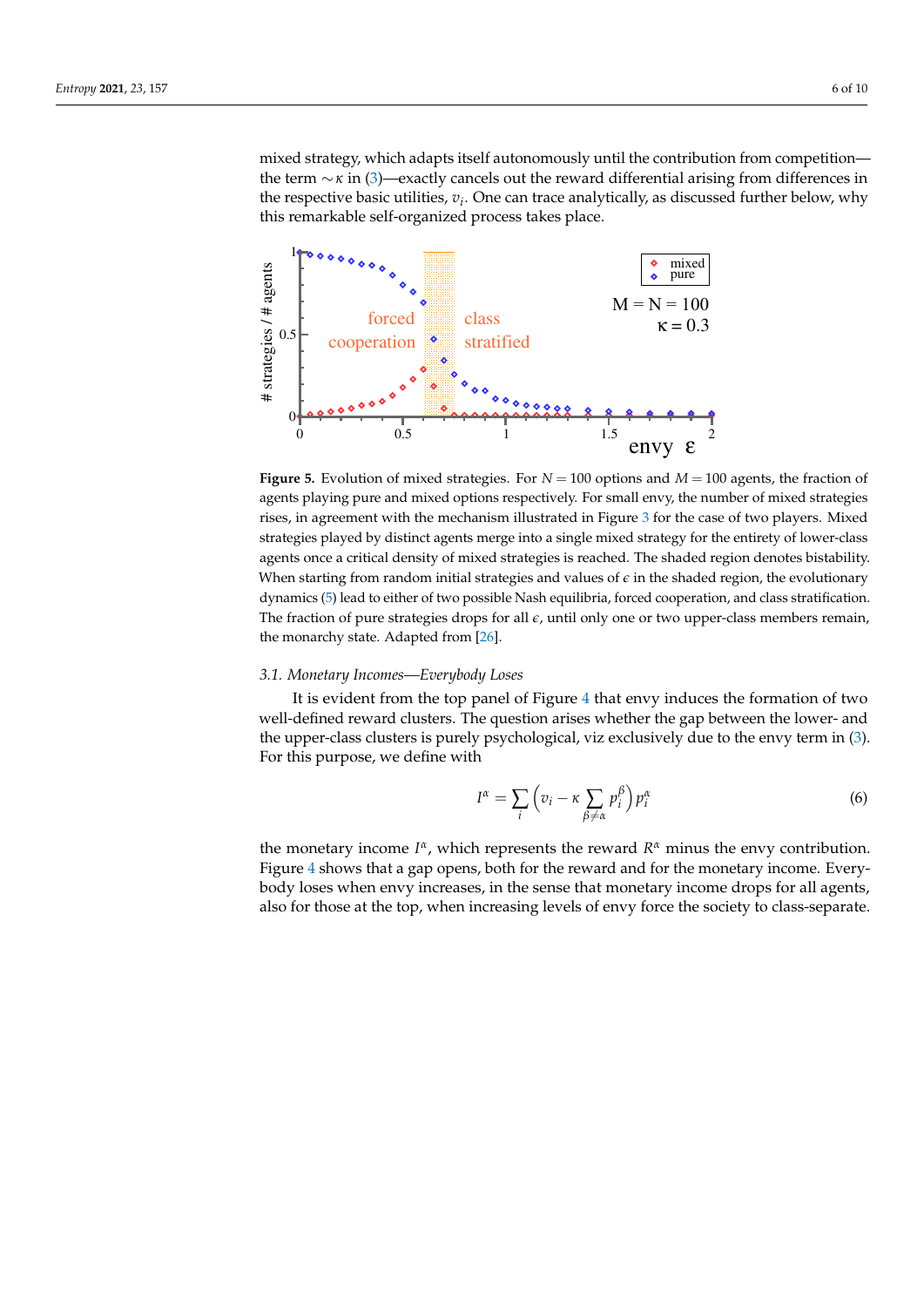mixed strategy, which adapts itself autonomously until the contribution from competition the term ∼*κ* in [\(3\)](#page-1-1)—exactly cancels out the reward differential arising from differences in the respective basic utilities, *v<sup>i</sup>* . One can trace analytically, as discussed further below, why this remarkable self-organized process takes place.

<span id="page-5-1"></span>

**Figure 5.** Evolution of mixed strategies. For *N* = 100 options and *M* = 100 agents, the fraction of agents playing pure and mixed options respectively. For small envy, the number of mixed strategies rises, in agreement with the mechanism illustrated in Figure [3](#page-3-0) for the case of two players. Mixed strategies played by distinct agents merge into a single mixed strategy for the entirety of lower-class agents once a critical density of mixed strategies is reached. The shaded region denotes bistability. When starting from random initial strategies and values of  $\epsilon$  in the shaded region, the evolutionary dynamics [\(5\)](#page-3-1) lead to either of two possible Nash equilibria, forced cooperation, and class stratification. The fraction of pure strategies drops for all  $\epsilon$ , until only one or two upper-class members remain, the monarchy state. Adapted from [\[26\]](#page-9-5).

### *3.1. Monetary Incomes—Everybody Loses*

It is evident from the top panel of Figure [4](#page-4-0) that envy induces the formation of two well-defined reward clusters. The question arises whether the gap between the lower- and the upper-class clusters is purely psychological, viz exclusively due to the envy term in [\(3\)](#page-1-1). For this purpose, we define with

<span id="page-5-0"></span>
$$
I^{\alpha} = \sum_{i} \left( v_i - \kappa \sum_{\beta \neq \alpha} p_i^{\beta} \right) p_i^{\alpha} \tag{6}
$$

the monetary income  $I^{\alpha}$ , which represents the reward  $R^{\alpha}$  minus the envy contribution. Figure [4](#page-4-0) shows that a gap opens, both for the reward and for the monetary income. Everybody loses when envy increases, in the sense that monetary income drops for all agents, also for those at the top, when increasing levels of envy force the society to class-separate.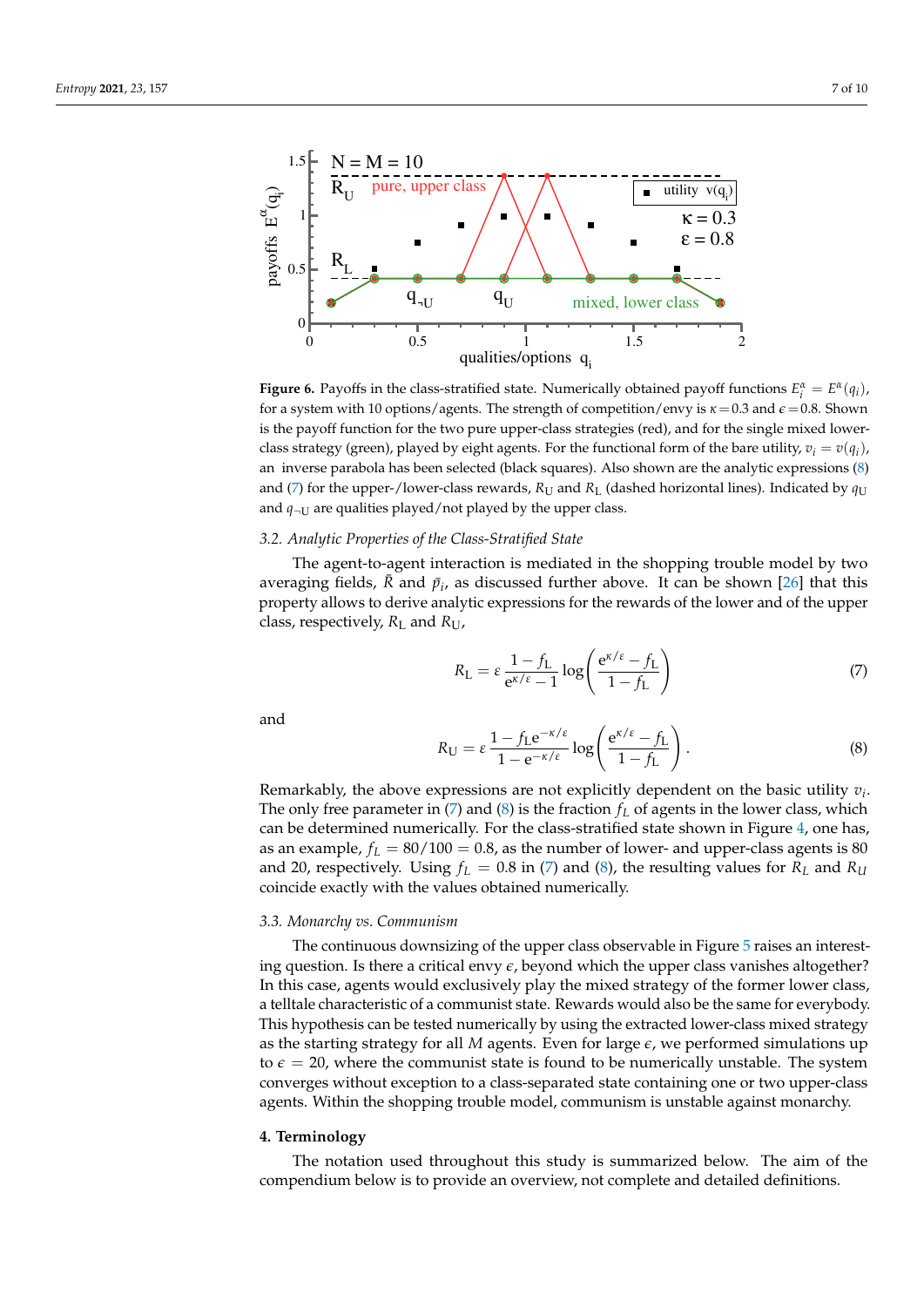<span id="page-6-0"></span>

**Figure 6.** Payoffs in the class-stratified state. Numerically obtained payoff functions  $E_i^{\alpha} = E^{\alpha}(q_i)$ , for a system with 10 options/agents. The strength of competition/envy is  $\kappa = 0.3$  and  $\epsilon = 0.8$ . Shown is the payoff function for the two pure upper-class strategies (red), and for the single mixed lowerclass strategy (green), played by eight agents. For the functional form of the bare utility,  $v_i = v(q_i)$ , an inverse parabola has been selected (black squares). Also shown are the analytic expressions [\(8\)](#page-6-1) and [\(7\)](#page-6-2) for the upper-/lower-class rewards,  $R_U$  and  $R_L$  (dashed horizontal lines). Indicated by  $q_U$ and  $q_{\neg U}$  are qualities played/not played by the upper class.

#### *3.2. Analytic Properties of the Class-Stratified State*

The agent-to-agent interaction is mediated in the shopping trouble model by two averaging fields,  $\bar{R}$  and  $\bar{p}_i$ , as discussed further above. It can be shown [\[26\]](#page-9-5) that this property allows to derive analytic expressions for the rewards of the lower and of the upper class, respectively, *R*<sup>L</sup> and *R*U,

<span id="page-6-2"></span>
$$
R_{\rm L} = \varepsilon \frac{1 - f_{\rm L}}{e^{\kappa/\varepsilon} - 1} \log \left( \frac{e^{\kappa/\varepsilon} - f_{\rm L}}{1 - f_{\rm L}} \right) \tag{7}
$$

and

<span id="page-6-1"></span>
$$
R_{\rm U} = \varepsilon \, \frac{1 - f_{\rm L} e^{-\kappa/\varepsilon}}{1 - e^{-\kappa/\varepsilon}} \log \left( \frac{e^{\kappa/\varepsilon} - f_{\rm L}}{1 - f_{\rm L}} \right). \tag{8}
$$

Remarkably, the above expressions are not explicitly dependent on the basic utility *v<sup>i</sup>* . The only free parameter in  $(7)$  and  $(8)$  is the fraction  $f<sub>L</sub>$  of agents in the lower class, which can be determined numerically. For the class-stratified state shown in Figure [4,](#page-4-0) one has, as an example,  $f_L = 80/100 = 0.8$ , as the number of lower- and upper-class agents is 80 and 20, respectively. Using  $f_L = 0.8$  in [\(7\)](#page-6-2) and [\(8\)](#page-6-1), the resulting values for  $R_L$  and  $R_U$ coincide exactly with the values obtained numerically.

# *3.3. Monarchy vs. Communism*

The continuous downsizing of the upper class observable in Figure [5](#page-5-1) raises an interesting question. Is there a critical envy  $\epsilon$ , beyond which the upper class vanishes altogether? In this case, agents would exclusively play the mixed strategy of the former lower class, a telltale characteristic of a communist state. Rewards would also be the same for everybody. This hypothesis can be tested numerically by using the extracted lower-class mixed strategy as the starting strategy for all  $M$  agents. Even for large  $\epsilon$ , we performed simulations up to  $\epsilon = 20$ , where the communist state is found to be numerically unstable. The system converges without exception to a class-separated state containing one or two upper-class agents. Within the shopping trouble model, communism is unstable against monarchy.

#### <span id="page-6-3"></span>**4. Terminology**

The notation used throughout this study is summarized below. The aim of the compendium below is to provide an overview, not complete and detailed definitions.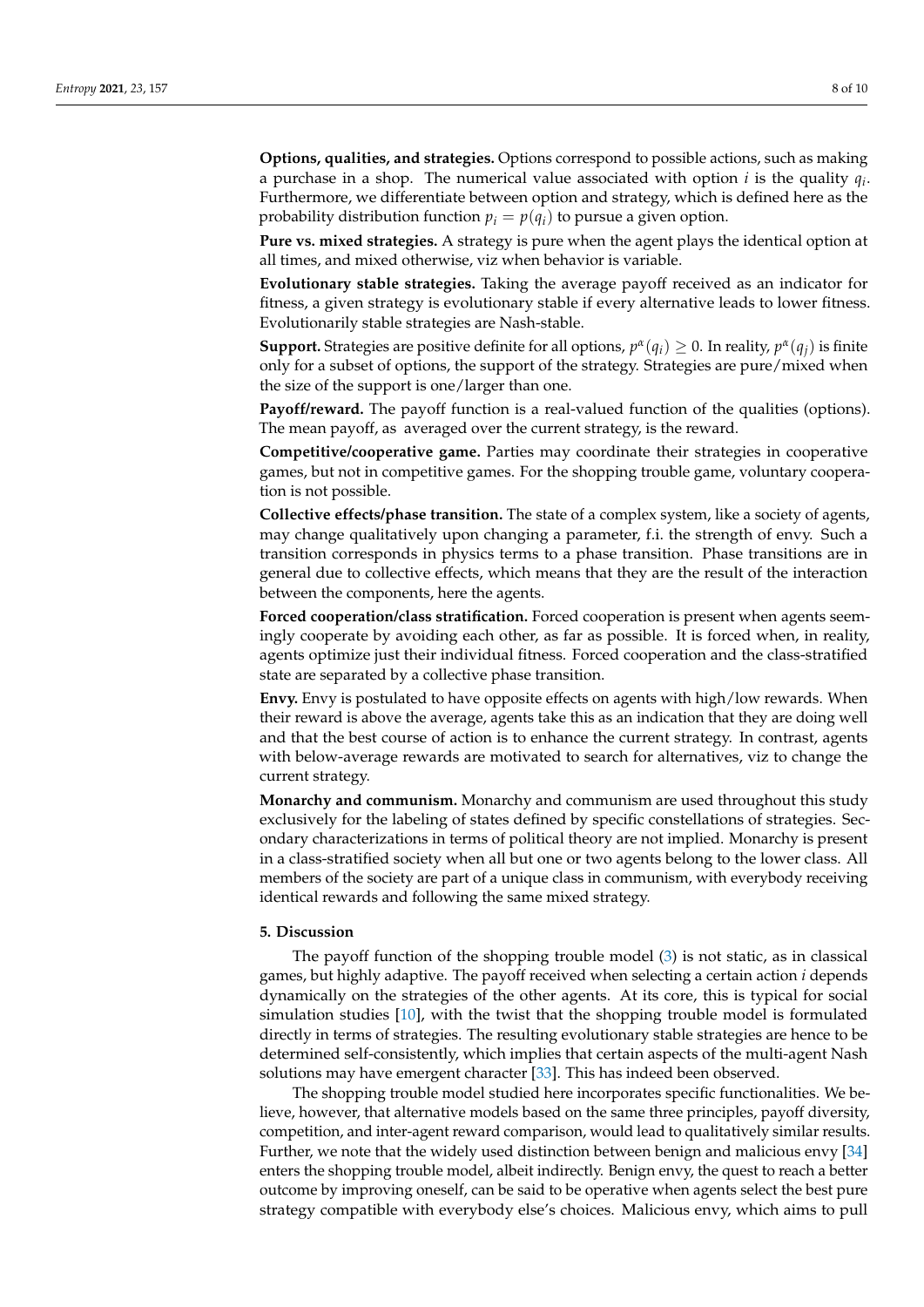**Options, qualities, and strategies.** Options correspond to possible actions, such as making a purchase in a shop. The numerical value associated with option *i* is the quality *q<sup>i</sup>* . Furthermore, we differentiate between option and strategy, which is defined here as the probability distribution function  $p_i = p(q_i)$  to pursue a given option.

**Pure vs. mixed strategies.** A strategy is pure when the agent plays the identical option at all times, and mixed otherwise, viz when behavior is variable.

**Evolutionary stable strategies.** Taking the average payoff received as an indicator for fitness, a given strategy is evolutionary stable if every alternative leads to lower fitness. Evolutionarily stable strategies are Nash-stable.

**Support.** Strategies are positive definite for all options,  $p^{\alpha}(q_i) \ge 0$ . In reality,  $p^{\alpha}(q_j)$  is finite only for a subset of options, the support of the strategy. Strategies are pure/mixed when the size of the support is one/larger than one.

**Payoff/reward.** The payoff function is a real-valued function of the qualities (options). The mean payoff, as averaged over the current strategy, is the reward.

**Competitive/cooperative game.** Parties may coordinate their strategies in cooperative games, but not in competitive games. For the shopping trouble game, voluntary cooperation is not possible.

**Collective effects/phase transition.** The state of a complex system, like a society of agents, may change qualitatively upon changing a parameter, f.i. the strength of envy. Such a transition corresponds in physics terms to a phase transition. Phase transitions are in general due to collective effects, which means that they are the result of the interaction between the components, here the agents.

**Forced cooperation/class stratification.** Forced cooperation is present when agents seemingly cooperate by avoiding each other, as far as possible. It is forced when, in reality, agents optimize just their individual fitness. Forced cooperation and the class-stratified state are separated by a collective phase transition.

**Envy.** Envy is postulated to have opposite effects on agents with high/low rewards. When their reward is above the average, agents take this as an indication that they are doing well and that the best course of action is to enhance the current strategy. In contrast, agents with below-average rewards are motivated to search for alternatives, viz to change the current strategy.

**Monarchy and communism.** Monarchy and communism are used throughout this study exclusively for the labeling of states defined by specific constellations of strategies. Secondary characterizations in terms of political theory are not implied. Monarchy is present in a class-stratified society when all but one or two agents belong to the lower class. All members of the society are part of a unique class in communism, with everybody receiving identical rewards and following the same mixed strategy.

#### **5. Discussion**

The payoff function of the shopping trouble model [\(3\)](#page-1-1) is not static, as in classical games, but highly adaptive. The payoff received when selecting a certain action *i* depends dynamically on the strategies of the other agents. At its core, this is typical for social simulation studies [\[10\]](#page-8-9), with the twist that the shopping trouble model is formulated directly in terms of strategies. The resulting evolutionary stable strategies are hence to be determined self-consistently, which implies that certain aspects of the multi-agent Nash solutions may have emergent character [\[33\]](#page-9-12). This has indeed been observed.

The shopping trouble model studied here incorporates specific functionalities. We believe, however, that alternative models based on the same three principles, payoff diversity, competition, and inter-agent reward comparison, would lead to qualitatively similar results. Further, we note that the widely used distinction between benign and malicious envy [\[34\]](#page-9-13) enters the shopping trouble model, albeit indirectly. Benign envy, the quest to reach a better outcome by improving oneself, can be said to be operative when agents select the best pure strategy compatible with everybody else's choices. Malicious envy, which aims to pull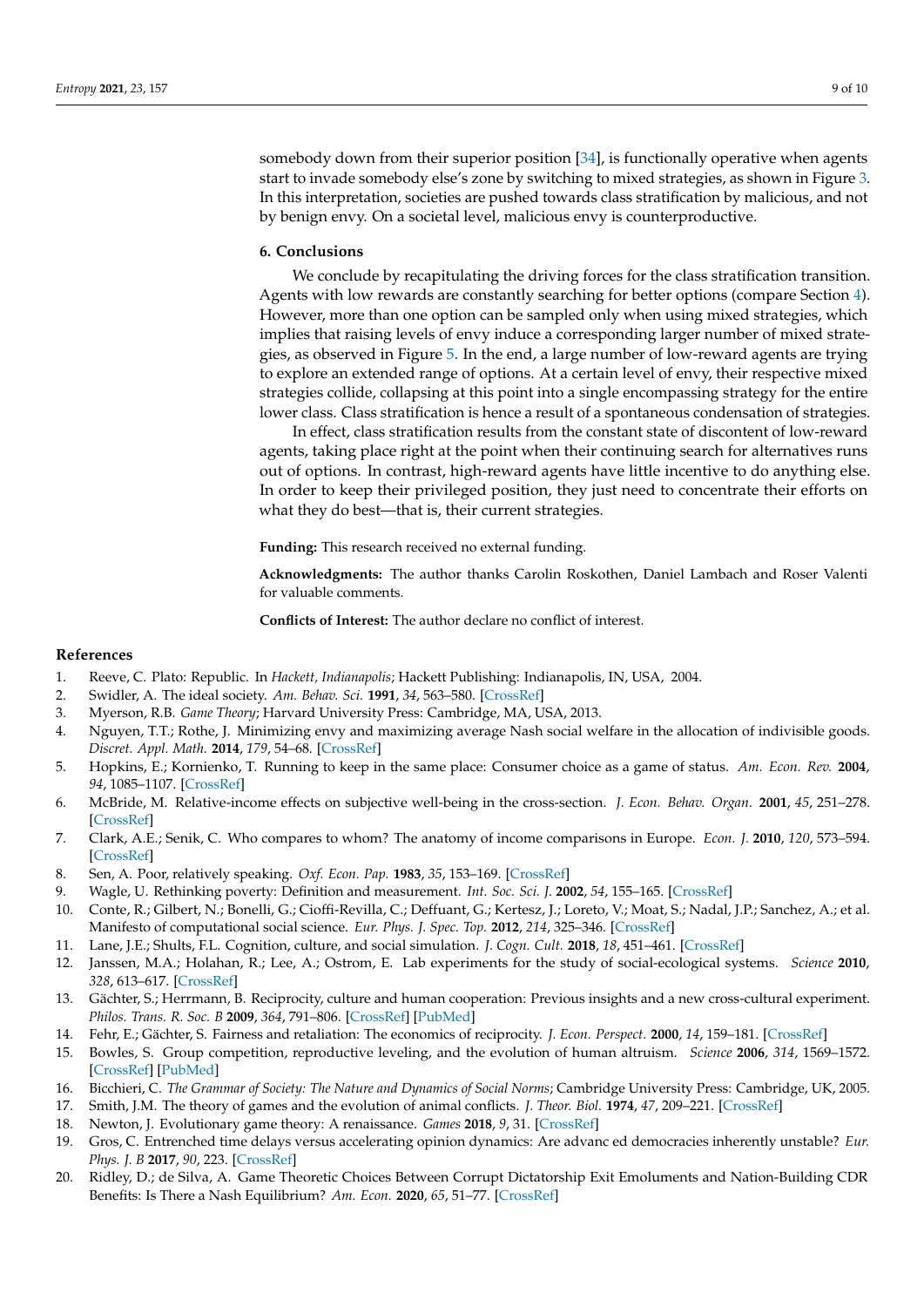somebody down from their superior position [\[34\]](#page-9-13), is functionally operative when agents start to invade somebody else's zone by switching to mixed strategies, as shown in Figure [3.](#page-3-0) In this interpretation, societies are pushed towards class stratification by malicious, and not by benign envy. On a societal level, malicious envy is counterproductive.

# **6. Conclusions**

We conclude by recapitulating the driving forces for the class stratification transition. Agents with low rewards are constantly searching for better options (compare Section [4\)](#page-6-3). However, more than one option can be sampled only when using mixed strategies, which implies that raising levels of envy induce a corresponding larger number of mixed strategies, as observed in Figure [5.](#page-5-1) In the end, a large number of low-reward agents are trying to explore an extended range of options. At a certain level of envy, their respective mixed strategies collide, collapsing at this point into a single encompassing strategy for the entire lower class. Class stratification is hence a result of a spontaneous condensation of strategies.

In effect, class stratification results from the constant state of discontent of low-reward agents, taking place right at the point when their continuing search for alternatives runs out of options. In contrast, high-reward agents have little incentive to do anything else. In order to keep their privileged position, they just need to concentrate their efforts on what they do best—that is, their current strategies.

**Funding:** This research received no external funding.

**Acknowledgments:** The author thanks Carolin Roskothen, Daniel Lambach and Roser Valenti for valuable comments.

**Conflicts of Interest:** The author declare no conflict of interest.

### **References**

- <span id="page-8-0"></span>1. Reeve, C. Plato: Republic. In *Hackett, Indianapolis*; Hackett Publishing: Indianapolis, IN, USA, 2004.
- <span id="page-8-1"></span>2. Swidler, A. The ideal society. *Am. Behav. Sci.* **1991**, *34*, 563–580. [\[CrossRef\]](http://doi.org/10.1177/0002764291034005007)
- <span id="page-8-2"></span>3. Myerson, R.B. *Game Theory*; Harvard University Press: Cambridge, MA, USA, 2013.
- <span id="page-8-3"></span>4. Nguyen, T.T.; Rothe, J. Minimizing envy and maximizing average Nash social welfare in the allocation of indivisible goods. *Discret. Appl. Math.* **2014**, *179*, 54–68. [\[CrossRef\]](http://dx.doi.org/10.1016/j.dam.2014.09.010)
- <span id="page-8-4"></span>5. Hopkins, E.; Kornienko, T. Running to keep in the same place: Consumer choice as a game of status. *Am. Econ. Rev.* **2004**, *94*, 1085–1107. [\[CrossRef\]](http://dx.doi.org/10.1257/0002828042002705)
- <span id="page-8-5"></span>6. McBride, M. Relative-income effects on subjective well-being in the cross-section. *J. Econ. Behav. Organ.* **2001**, *45*, 251–278. [\[CrossRef\]](http://dx.doi.org/10.1016/S0167-2681(01)00145-7)
- <span id="page-8-6"></span>7. Clark, A.E.; Senik, C. Who compares to whom? The anatomy of income comparisons in Europe. *Econ. J.* **2010**, *120*, 573–594. [\[CrossRef\]](http://dx.doi.org/10.1111/j.1468-0297.2010.02359.x)
- <span id="page-8-7"></span>8. Sen, A. Poor, relatively speaking. *Oxf. Econ. Pap.* **1983**, *35*, 153–169. [\[CrossRef\]](http://dx.doi.org/10.1093/oxfordjournals.oep.a041587)
- <span id="page-8-8"></span>9. Wagle, U. Rethinking poverty: Definition and measurement. *Int. Soc. Sci. J.* **2002**, *54*, 155–165. [\[CrossRef\]](http://dx.doi.org/10.1111/1468-2451.00366)
- <span id="page-8-9"></span>10. Conte, R.; Gilbert, N.; Bonelli, G.; Cioffi-Revilla, C.; Deffuant, G.; Kertesz, J.; Loreto, V.; Moat, S.; Nadal, J.P.; Sanchez, A.; et al. Manifesto of computational social science. *Eur. Phys. J. Spec. Top.* **2012**, *214*, 325–346. [\[CrossRef\]](http://dx.doi.org/10.1140/epjst/e2012-01697-8)
- <span id="page-8-10"></span>11. Lane, J.E.; Shults, F.L. Cognition, culture, and social simulation. *J. Cogn. Cult.* **2018**, *18*, 451–461. [\[CrossRef\]](http://dx.doi.org/10.1163/15685373-12340039)
- <span id="page-8-11"></span>12. Janssen, M.A.; Holahan, R.; Lee, A.; Ostrom, E. Lab experiments for the study of social-ecological systems. *Science* **2010**, *328*, 613–617. [\[CrossRef\]](http://dx.doi.org/10.1126/science.1183532)
- <span id="page-8-12"></span>13. Gächter, S.; Herrmann, B. Reciprocity, culture and human cooperation: Previous insights and a new cross-cultural experiment. *Philos. Trans. R. Soc. B* **2009**, *364*, 791–806. [\[CrossRef\]](http://dx.doi.org/10.1098/rstb.2008.0275) [\[PubMed\]](http://www.ncbi.nlm.nih.gov/pubmed/19073476)
- <span id="page-8-13"></span>14. Fehr, E.; Gächter, S. Fairness and retaliation: The economics of reciprocity. *J. Econ. Perspect.* **2000**, *14*, 159–181. [\[CrossRef\]](http://dx.doi.org/10.1257/jep.14.3.159)
- <span id="page-8-14"></span>15. Bowles, S. Group competition, reproductive leveling, and the evolution of human altruism. *Science* **2006**, *314*, 1569–1572. [\[CrossRef\]](http://dx.doi.org/10.1126/science.1134829) [\[PubMed\]](http://www.ncbi.nlm.nih.gov/pubmed/17158320)
- <span id="page-8-15"></span>16. Bicchieri, C. *The Grammar of Society: The Nature and Dynamics of Social Norms*; Cambridge University Press: Cambridge, UK, 2005.
- <span id="page-8-16"></span>17. Smith, J.M. The theory of games and the evolution of animal conflicts. *J. Theor. Biol.* **1974**, *47*, 209–221. [\[CrossRef\]](http://dx.doi.org/10.1016/0022-5193(74)90110-6)
- <span id="page-8-17"></span>18. Newton, J. Evolutionary game theory: A renaissance. *Games* **2018**, *9*, 31. [\[CrossRef\]](http://dx.doi.org/10.3390/g9020031)
- <span id="page-8-18"></span>19. Gros, C. Entrenched time delays versus accelerating opinion dynamics: Are advanc ed democracies inherently unstable? *Eur. Phys. J. B* **2017**, *90*, 223. [\[CrossRef\]](http://dx.doi.org/10.1140/epjb/e2017-80341-y)
- <span id="page-8-19"></span>20. Ridley, D.; de Silva, A. Game Theoretic Choices Between Corrupt Dictatorship Exit Emoluments and Nation-Building CDR Benefits: Is There a Nash Equilibrium? *Am. Econ.* **2020**, *65*, 51–77. [\[CrossRef\]](http://dx.doi.org/10.1177/0569434519878858)